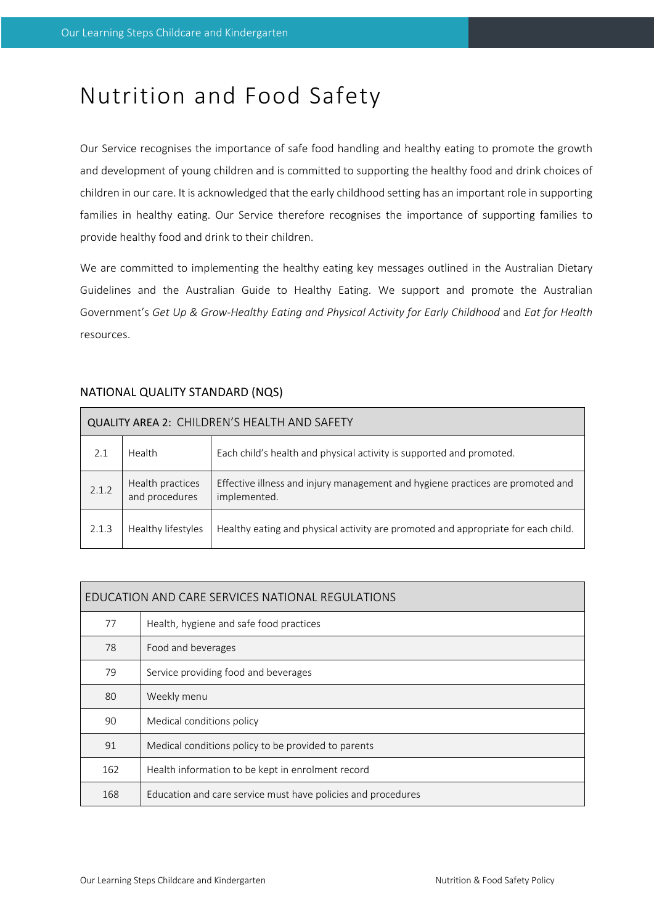# Nutrition and Food Safety

Our Service recognises the importance of safe food handling and healthy eating to promote the growth and development of young children and is committed to supporting the healthy food and drink choices of children in our care. It is acknowledged that the early childhood setting has an important role in supporting families in healthy eating. Our Service therefore recognises the importance of supporting families to provide healthy food and drink to their children.

We are committed to implementing the healthy eating key messages outlined in the Australian Dietary Guidelines and the Australian Guide to Healthy Eating. We support and promote the Australian Government's *Get Up & Grow-Healthy Eating and Physical Activity for Early Childhood* and *Eat for Health* resources.

| QUALITY AREA 2: CHILDREN'S HEALTH AND SAFETY |                                    |                                                                                                |  |  |  |
|----------------------------------------------|------------------------------------|------------------------------------------------------------------------------------------------|--|--|--|
| 2.1                                          | Health                             | Each child's health and physical activity is supported and promoted.                           |  |  |  |
| 2.1.2                                        | Health practices<br>and procedures | Effective illness and injury management and hygiene practices are promoted and<br>implemented. |  |  |  |
| 2.1.3                                        | Healthy lifestyles                 | Healthy eating and physical activity are promoted and appropriate for each child.              |  |  |  |

# NATIONAL QUALITY STANDARD (NQS)

| EDUCATION AND CARE SERVICES NATIONAL REGULATIONS |                                                              |  |  |  |
|--------------------------------------------------|--------------------------------------------------------------|--|--|--|
| 77                                               | Health, hygiene and safe food practices                      |  |  |  |
| 78                                               | Food and beverages                                           |  |  |  |
| 79                                               | Service providing food and beverages                         |  |  |  |
| 80                                               | Weekly menu                                                  |  |  |  |
| 90                                               | Medical conditions policy                                    |  |  |  |
| 91                                               | Medical conditions policy to be provided to parents          |  |  |  |
| 162                                              | Health information to be kept in enrolment record            |  |  |  |
| 168                                              | Education and care service must have policies and procedures |  |  |  |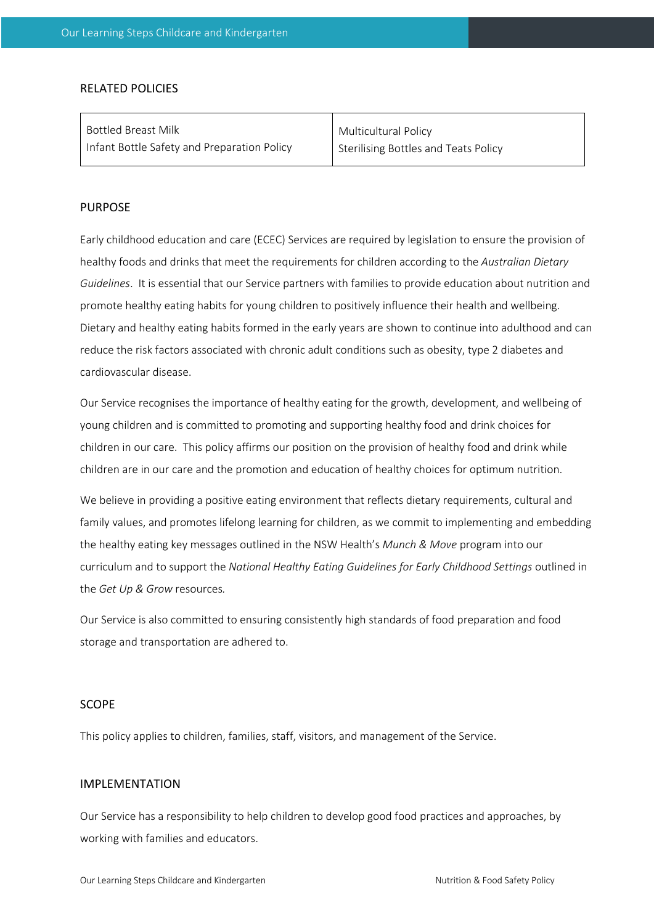### RELATED POLICIES

| Bottled Breast Milk                         | Multicultural Policy                 |
|---------------------------------------------|--------------------------------------|
| Infant Bottle Safety and Preparation Policy | Sterilising Bottles and Teats Policy |

#### PURPOSE

Early childhood education and care (ECEC) Services are required by legislation to ensure the provision of healthy foods and drinks that meet the requirements for children according to the *Australian Dietary Guidelines*. It is essential that our Service partners with families to provide education about nutrition and promote healthy eating habits for young children to positively influence their health and wellbeing. Dietary and healthy eating habits formed in the early years are shown to continue into adulthood and can reduce the risk factors associated with chronic adult conditions such as obesity, type 2 diabetes and cardiovascular disease.

Our Service recognises the importance of healthy eating for the growth, development, and wellbeing of young children and is committed to promoting and supporting healthy food and drink choices for children in our care. This policy affirms our position on the provision of healthy food and drink while children are in our care and the promotion and education of healthy choices for optimum nutrition.

We believe in providing a positive eating environment that reflects dietary requirements, cultural and family values, and promotes lifelong learning for children, as we commit to implementing and embedding the healthy eating key messages outlined in the NSW Health's *Munch & Move* program into our curriculum and to support the *National Healthy Eating Guidelines for Early Childhood Settings* outlined in the *Get Up & Grow* resources*.*

Our Service is also committed to ensuring consistently high standards of food preparation and food storage and transportation are adhered to.

#### SCOPE

This policy applies to children, families, staff, visitors, and management of the Service.

#### IMPLEMENTATION

Our Service has a responsibility to help children to develop good food practices and approaches, by working with families and educators.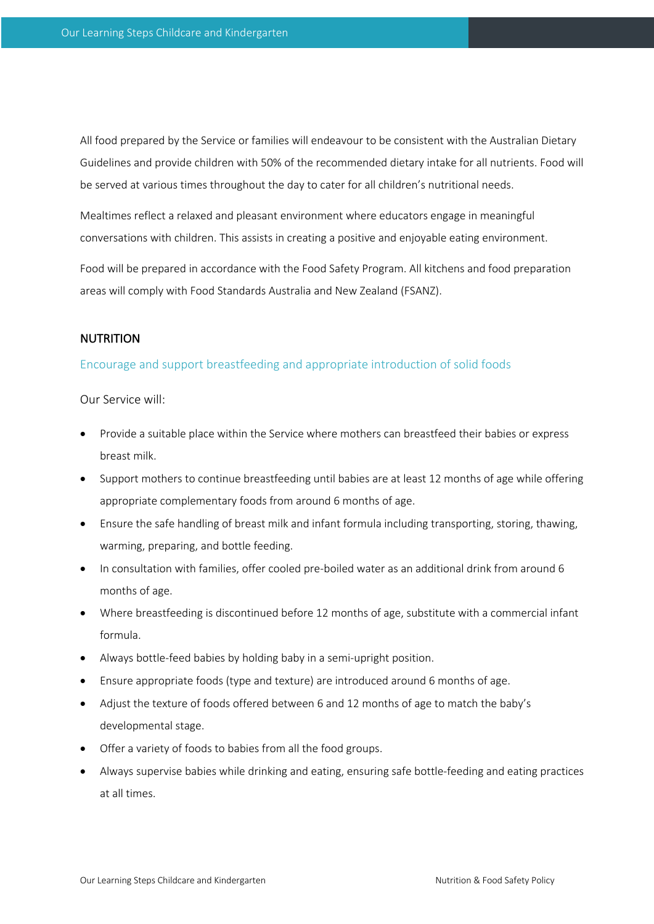All food prepared by the Service or families will endeavour to be consistent with the Australian Dietary Guidelines and provide children with 50% of the recommended dietary intake for all nutrients. Food will be served at various times throughout the day to cater for all children's nutritional needs.

Mealtimes reflect a relaxed and pleasant environment where educators engage in meaningful conversations with children. This assists in creating a positive and enjoyable eating environment.

Food will be prepared in accordance with the Food Safety Program. All kitchens and food preparation areas will comply with Food Standards Australia and New Zealand (FSANZ).

## **NUTRITION**

## Encourage and support breastfeeding and appropriate introduction of solid foods

- Provide a suitable place within the Service where mothers can breastfeed their babies or express breast milk.
- Support mothers to continue breastfeeding until babies are at least 12 months of age while offering appropriate complementary foods from around 6 months of age.
- Ensure the safe handling of breast milk and infant formula including transporting, storing, thawing, warming, preparing, and bottle feeding.
- In consultation with families, offer cooled pre-boiled water as an additional drink from around 6 months of age.
- Where breastfeeding is discontinued before 12 months of age, substitute with a commercial infant formula.
- Always bottle-feed babies by holding baby in a semi-upright position.
- Ensure appropriate foods (type and texture) are introduced around 6 months of age.
- Adjust the texture of foods offered between 6 and 12 months of age to match the baby's developmental stage.
- Offer a variety of foods to babies from all the food groups.
- Always supervise babies while drinking and eating, ensuring safe bottle-feeding and eating practices at all times.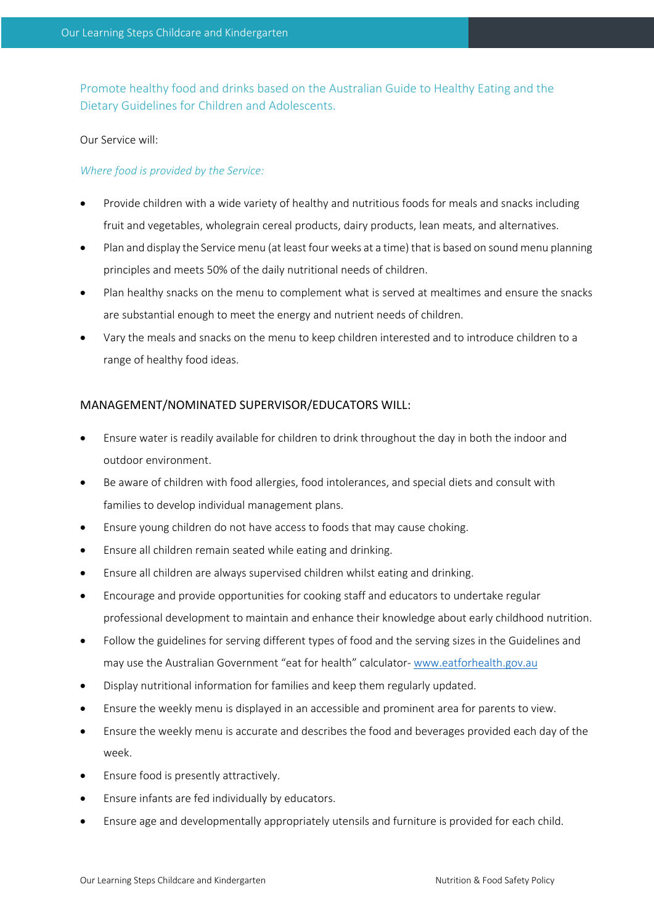Promote healthy food and drinks based on the Australian Guide to Healthy Eating and the Dietary Guidelines for Children and Adolescents.

## Our Service will:

# *Where food is provided by the Service:*

- Provide children with a wide variety of healthy and nutritious foods for meals and snacks including fruit and vegetables, wholegrain cereal products, dairy products, lean meats, and alternatives.
- Plan and display the Service menu (at least four weeks at a time) that is based on sound menu planning principles and meets 50% of the daily nutritional needs of children.
- Plan healthy snacks on the menu to complement what is served at mealtimes and ensure the snacks are substantial enough to meet the energy and nutrient needs of children.
- Vary the meals and snacks on the menu to keep children interested and to introduce children to a range of healthy food ideas.

# MANAGEMENT/NOMINATED SUPERVISOR/EDUCATORS WILL:

- Ensure water is readily available for children to drink throughout the day in both the indoor and outdoor environment.
- Be aware of children with food allergies, food intolerances, and special diets and consult with families to develop individual management plans.
- Ensure young children do not have access to foods that may cause choking.
- Ensure all children remain seated while eating and drinking.
- Ensure all children are always supervised children whilst eating and drinking.
- Encourage and provide opportunities for cooking staff and educators to undertake regular professional development to maintain and enhance their knowledge about early childhood nutrition.
- Follow the guidelines for serving different types of food and the serving sizes in the Guidelines and may use the Australian Government "eat for health" calculator- www.eatforhealth.gov.au
- Display nutritional information for families and keep them regularly updated.
- Ensure the weekly menu is displayed in an accessible and prominent area for parents to view.
- Ensure the weekly menu is accurate and describes the food and beverages provided each day of the week.
- Ensure food is presently attractively.
- Ensure infants are fed individually by educators.
- Ensure age and developmentally appropriately utensils and furniture is provided for each child.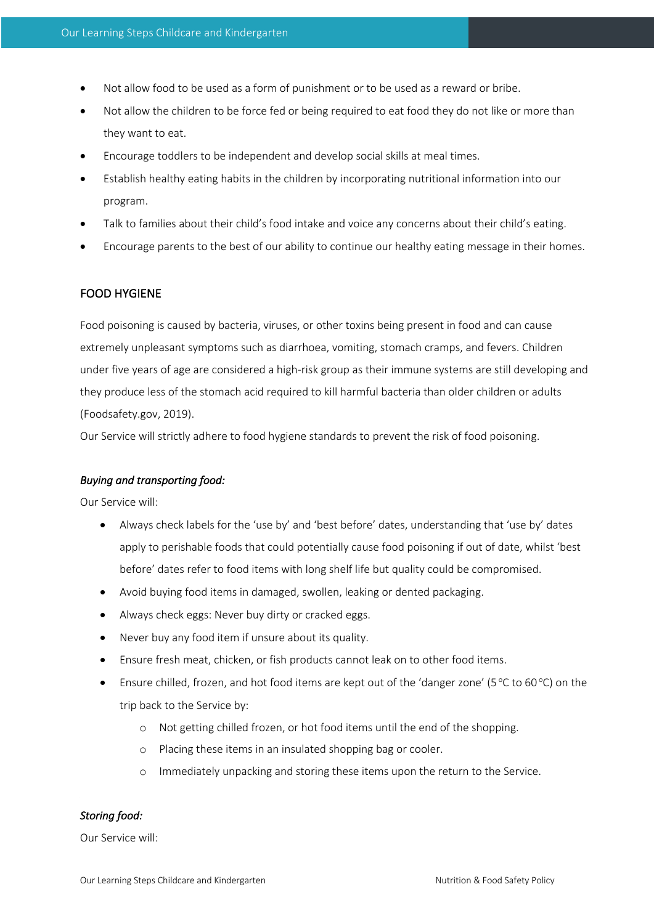- Not allow food to be used as a form of punishment or to be used as a reward or bribe.
- Not allow the children to be force fed or being required to eat food they do not like or more than they want to eat.
- Encourage toddlers to be independent and develop social skills at meal times.
- Establish healthy eating habits in the children by incorporating nutritional information into our program.
- Talk to families about their child's food intake and voice any concerns about their child's eating.
- Encourage parents to the best of our ability to continue our healthy eating message in their homes.

# FOOD HYGIENE

Food poisoning is caused by bacteria, viruses, or other toxins being present in food and can cause extremely unpleasant symptoms such as diarrhoea, vomiting, stomach cramps, and fevers. Children under five years of age are considered a high-risk group as their immune systems are still developing and they produce less of the stomach acid required to kill harmful bacteria than older children or adults (Foodsafety.gov, 2019).

Our Service will strictly adhere to food hygiene standards to prevent the risk of food poisoning.

#### *Buying and transporting food:*

Our Service will:

- Always check labels for the 'use by' and 'best before' dates, understanding that 'use by' dates apply to perishable foods that could potentially cause food poisoning if out of date, whilst 'best before' dates refer to food items with long shelf life but quality could be compromised.
- Avoid buying food items in damaged, swollen, leaking or dented packaging.
- Always check eggs: Never buy dirty or cracked eggs.
- Never buy any food item if unsure about its quality.
- Ensure fresh meat, chicken, or fish products cannot leak on to other food items.
- Ensure chilled, frozen, and hot food items are kept out of the 'danger zone' (5 °C to 60 °C) on the trip back to the Service by:
	- o Not getting chilled frozen, or hot food items until the end of the shopping.
	- o Placing these items in an insulated shopping bag or cooler.
	- o Immediately unpacking and storing these items upon the return to the Service.

### *Storing food:*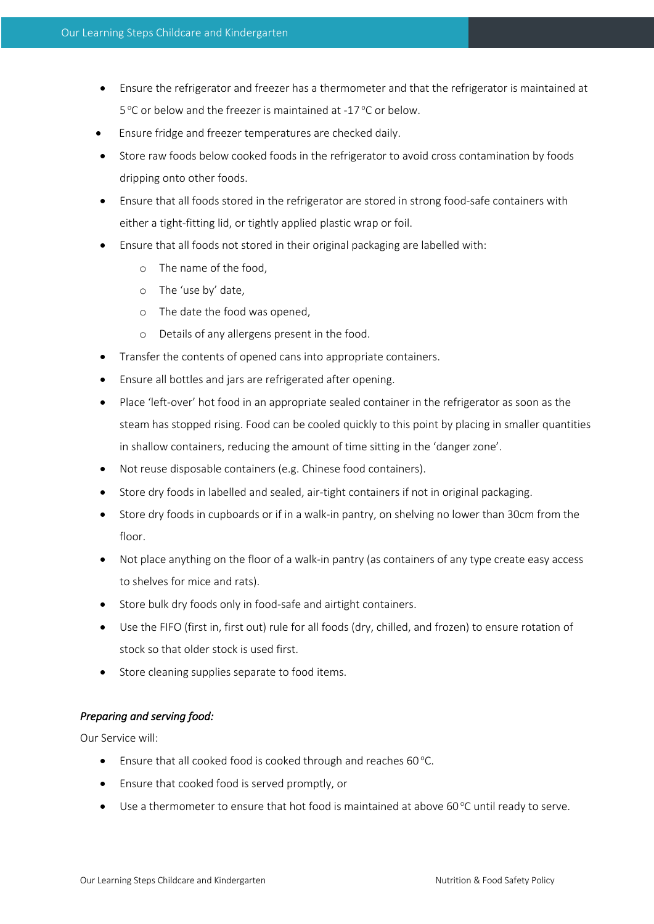- Ensure the refrigerator and freezer has a thermometer and that the refrigerator is maintained at 5 °C or below and the freezer is maintained at -17 °C or below.
- Ensure fridge and freezer temperatures are checked daily.
- Store raw foods below cooked foods in the refrigerator to avoid cross contamination by foods dripping onto other foods.
- Ensure that all foods stored in the refrigerator are stored in strong food-safe containers with either a tight-fitting lid, or tightly applied plastic wrap or foil.
- Ensure that all foods not stored in their original packaging are labelled with:
	- o The name of the food,
	- o The 'use by' date,
	- o The date the food was opened,
	- o Details of any allergens present in the food.
- Transfer the contents of opened cans into appropriate containers.
- Ensure all bottles and jars are refrigerated after opening.
- Place 'left-over' hot food in an appropriate sealed container in the refrigerator as soon as the steam has stopped rising. Food can be cooled quickly to this point by placing in smaller quantities in shallow containers, reducing the amount of time sitting in the 'danger zone'.
- Not reuse disposable containers (e.g. Chinese food containers).
- Store dry foods in labelled and sealed, air-tight containers if not in original packaging.
- Store dry foods in cupboards or if in a walk-in pantry, on shelving no lower than 30cm from the floor.
- Not place anything on the floor of a walk-in pantry (as containers of any type create easy access to shelves for mice and rats).
- Store bulk dry foods only in food-safe and airtight containers.
- Use the FIFO (first in, first out) rule for all foods (dry, chilled, and frozen) to ensure rotation of stock so that older stock is used first.
- Store cleaning supplies separate to food items.

# *Preparing and serving food:*

- **•** Ensure that all cooked food is cooked through and reaches 60 $^{\circ}$ C.
- Ensure that cooked food is served promptly, or
- $\bullet$  Use a thermometer to ensure that hot food is maintained at above 60 $^{\circ}$ C until ready to serve.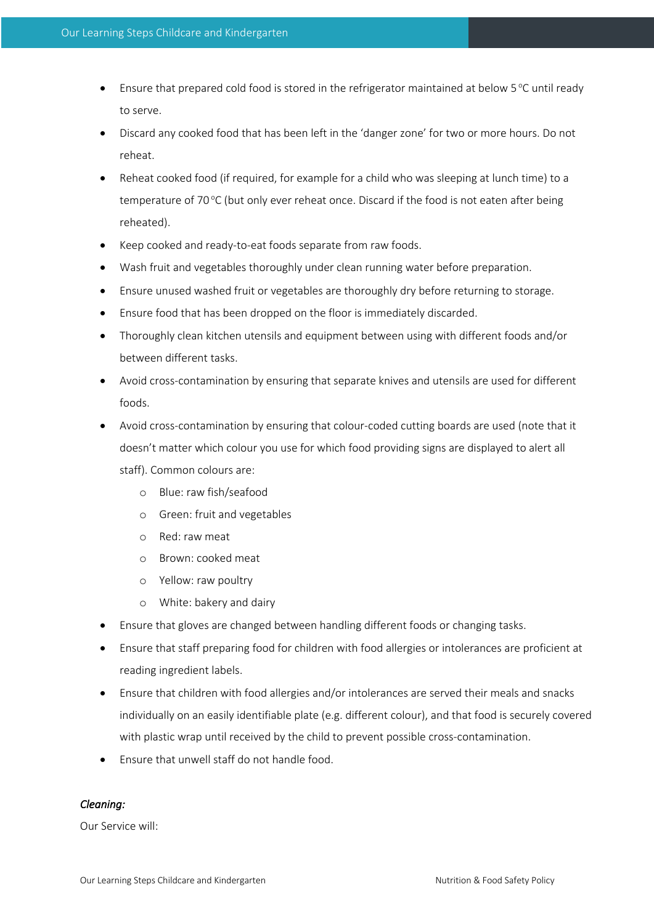- $\bullet$  Ensure that prepared cold food is stored in the refrigerator maintained at below 5 °C until ready to serve.
- Discard any cooked food that has been left in the 'danger zone' for two or more hours. Do not reheat.
- Reheat cooked food (if required, for example for a child who was sleeping at lunch time) to a temperature of 70 °C (but only ever reheat once. Discard if the food is not eaten after being reheated).
- Keep cooked and ready-to-eat foods separate from raw foods.
- Wash fruit and vegetables thoroughly under clean running water before preparation.
- Ensure unused washed fruit or vegetables are thoroughly dry before returning to storage.
- Ensure food that has been dropped on the floor is immediately discarded.
- Thoroughly clean kitchen utensils and equipment between using with different foods and/or between different tasks.
- Avoid cross-contamination by ensuring that separate knives and utensils are used for different foods.
- Avoid cross-contamination by ensuring that colour-coded cutting boards are used (note that it doesn't matter which colour you use for which food providing signs are displayed to alert all staff). Common colours are:
	- o Blue: raw fish/seafood
	- o Green: fruit and vegetables
	- o Red: raw meat
	- o Brown: cooked meat
	- o Yellow: raw poultry
	- o White: bakery and dairy
- Ensure that gloves are changed between handling different foods or changing tasks.
- Ensure that staff preparing food for children with food allergies or intolerances are proficient at reading ingredient labels.
- Ensure that children with food allergies and/or intolerances are served their meals and snacks individually on an easily identifiable plate (e.g. different colour), and that food is securely covered with plastic wrap until received by the child to prevent possible cross-contamination.
- Ensure that unwell staff do not handle food.

# *Cleaning:*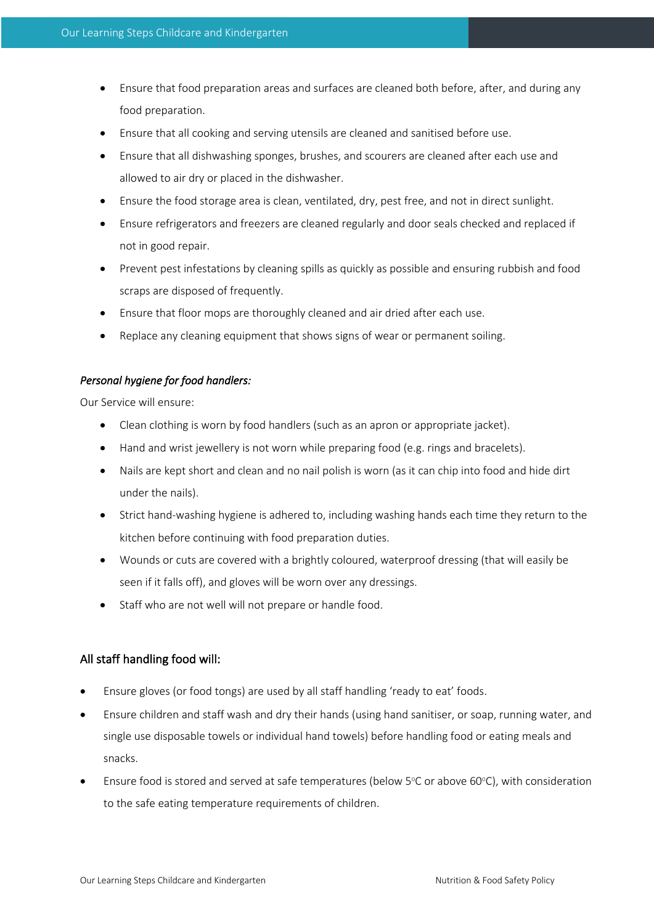- Ensure that food preparation areas and surfaces are cleaned both before, after, and during any food preparation.
- Ensure that all cooking and serving utensils are cleaned and sanitised before use.
- Ensure that all dishwashing sponges, brushes, and scourers are cleaned after each use and allowed to air dry or placed in the dishwasher.
- Ensure the food storage area is clean, ventilated, dry, pest free, and not in direct sunlight.
- Ensure refrigerators and freezers are cleaned regularly and door seals checked and replaced if not in good repair.
- Prevent pest infestations by cleaning spills as quickly as possible and ensuring rubbish and food scraps are disposed of frequently.
- Ensure that floor mops are thoroughly cleaned and air dried after each use.
- Replace any cleaning equipment that shows signs of wear or permanent soiling.

# *Personal hygiene for food handlers:*

Our Service will ensure:

- Clean clothing is worn by food handlers (such as an apron or appropriate jacket).
- Hand and wrist jewellery is not worn while preparing food (e.g. rings and bracelets).
- Nails are kept short and clean and no nail polish is worn (as it can chip into food and hide dirt under the nails).
- Strict hand-washing hygiene is adhered to, including washing hands each time they return to the kitchen before continuing with food preparation duties.
- Wounds or cuts are covered with a brightly coloured, waterproof dressing (that will easily be seen if it falls off), and gloves will be worn over any dressings.
- Staff who are not well will not prepare or handle food.

# All staff handling food will:

- Ensure gloves (or food tongs) are used by all staff handling 'ready to eat' foods.
- Ensure children and staff wash and dry their hands (using hand sanitiser, or soap, running water, and single use disposable towels or individual hand towels) before handling food or eating meals and snacks.
- Ensure food is stored and served at safe temperatures (below  $5^{\circ}$ C or above 60 $^{\circ}$ C), with consideration to the safe eating temperature requirements of children.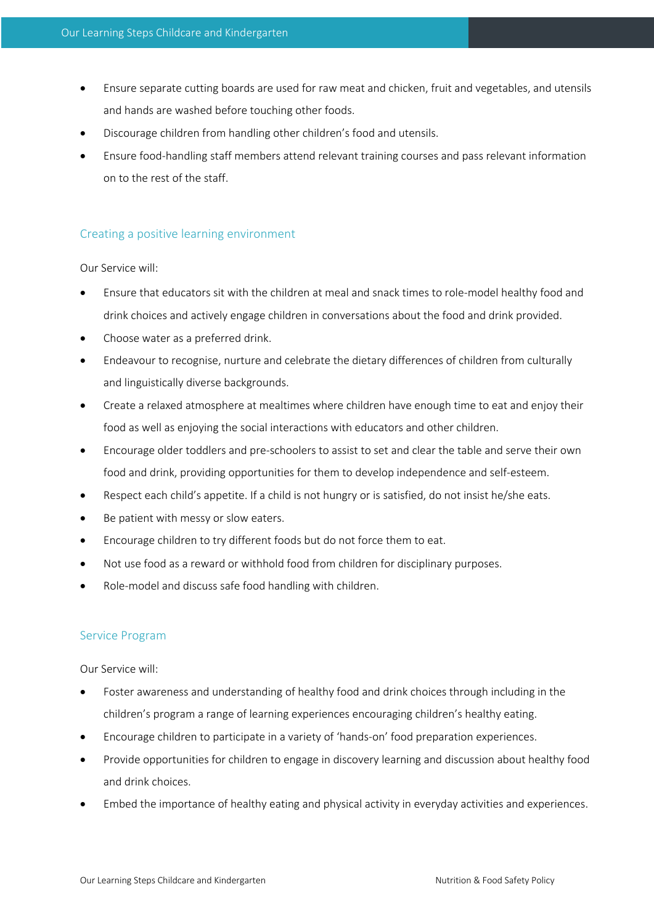- Ensure separate cutting boards are used for raw meat and chicken, fruit and vegetables, and utensils and hands are washed before touching other foods.
- Discourage children from handling other children's food and utensils.
- Ensure food-handling staff members attend relevant training courses and pass relevant information on to the rest of the staff.

# Creating a positive learning environment

## Our Service will:

- Ensure that educators sit with the children at meal and snack times to role-model healthy food and drink choices and actively engage children in conversations about the food and drink provided.
- Choose water as a preferred drink.
- Endeavour to recognise, nurture and celebrate the dietary differences of children from culturally and linguistically diverse backgrounds.
- Create a relaxed atmosphere at mealtimes where children have enough time to eat and enjoy their food as well as enjoying the social interactions with educators and other children.
- Encourage older toddlers and pre-schoolers to assist to set and clear the table and serve their own food and drink, providing opportunities for them to develop independence and self-esteem.
- Respect each child's appetite. If a child is not hungry or is satisfied, do not insist he/she eats.
- Be patient with messy or slow eaters.
- Encourage children to try different foods but do not force them to eat.
- Not use food as a reward or withhold food from children for disciplinary purposes.
- Role-model and discuss safe food handling with children.

# Service Program

- Foster awareness and understanding of healthy food and drink choices through including in the children's program a range of learning experiences encouraging children's healthy eating.
- Encourage children to participate in a variety of 'hands-on' food preparation experiences.
- Provide opportunities for children to engage in discovery learning and discussion about healthy food and drink choices.
- Embed the importance of healthy eating and physical activity in everyday activities and experiences.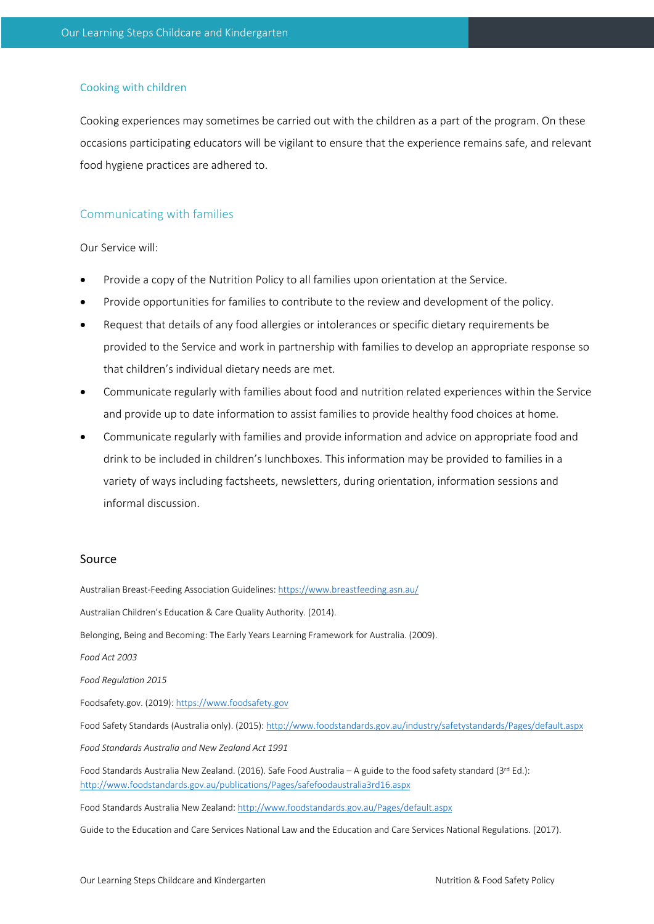#### Cooking with children

Cooking experiences may sometimes be carried out with the children as a part of the program. On these occasions participating educators will be vigilant to ensure that the experience remains safe, and relevant food hygiene practices are adhered to.

#### Communicating with families

Our Service will:

- Provide a copy of the Nutrition Policy to all families upon orientation at the Service.
- Provide opportunities for families to contribute to the review and development of the policy.
- Request that details of any food allergies or intolerances or specific dietary requirements be provided to the Service and work in partnership with families to develop an appropriate response so that children's individual dietary needs are met.
- Communicate regularly with families about food and nutrition related experiences within the Service and provide up to date information to assist families to provide healthy food choices at home.
- Communicate regularly with families and provide information and advice on appropriate food and drink to be included in children's lunchboxes. This information may be provided to families in a variety of ways including factsheets, newsletters, during orientation, information sessions and informal discussion.

## Source

Australian Breast-Feeding Association Guidelines: https://www.breastfeeding.asn.au/ Australian Children's Education & Care Quality Authority. (2014). Belonging, Being and Becoming: The Early Years Learning Framework for Australia. (2009). *Food Act 2003 Food Regulation 2015*  Foodsafety.gov. (2019): https://www.foodsafety.gov Food Safety Standards (Australia only). (2015): http://www.foodstandards.gov.au/industry/safetystandards/Pages/default.aspx *Food Standards Australia and New Zealand Act 1991*  Food Standards Australia New Zealand. (2016). Safe Food Australia – A guide to the food safety standard (3rd Ed.): http://www.foodstandards.gov.au/publications/Pages/safefoodaustralia3rd16.aspx Food Standards Australia New Zealand: http://www.foodstandards.gov.au/Pages/default.aspx

Guide to the Education and Care Services National Law and the Education and Care Services National Regulations. (2017).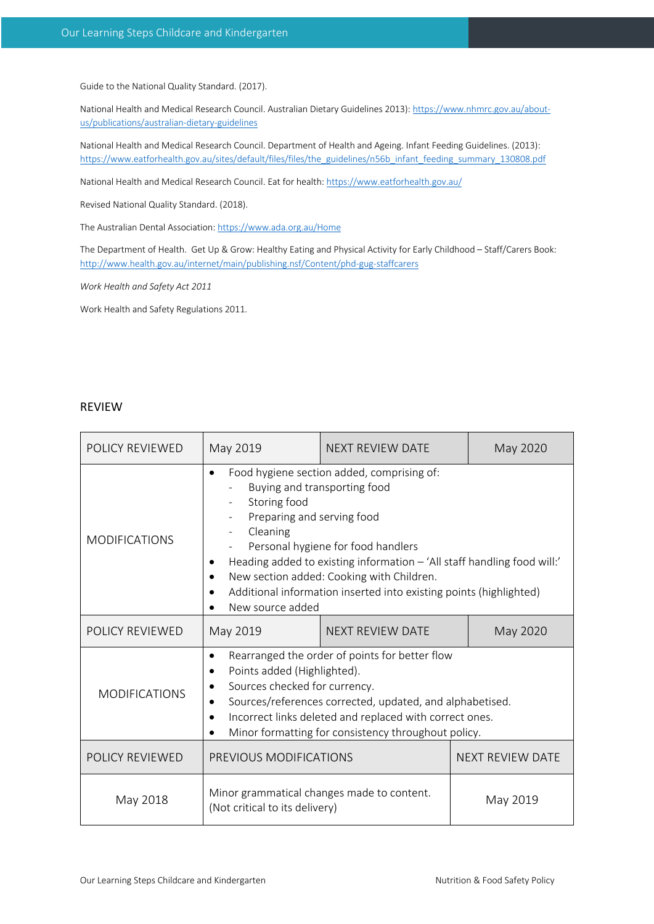Guide to the National Quality Standard. (2017).

National Health and Medical Research Council. Australian Dietary Guidelines 2013): https://www.nhmrc.gov.au/aboutus/publications/australian-dietary-guidelines

National Health and Medical Research Council. Department of Health and Ageing. Infant Feeding Guidelines. (2013): https://www.eatforhealth.gov.au/sites/default/files/files/the\_guidelines/n56b\_infant\_feeding\_summary\_130808.pdf

National Health and Medical Research Council. Eat for health: https://www.eatforhealth.gov.au/

Revised National Quality Standard. (2018).

The Australian Dental Association: https://www.ada.org.au/Home

The Department of Health. Get Up & Grow: Healthy Eating and Physical Activity for Early Childhood – Staff/Carers Book: http://www.health.gov.au/internet/main/publishing.nsf/Content/phd-gug-staffcarers

*Work Health and Safety Act 2011* 

Work Health and Safety Regulations 2011.

# REVIEW

| POLICY REVIEWED      | May 2019                                                                                                                                                                                                                                                                                                                                                                                                  | <b>NEXT REVIEW DATE</b> | May 2020                |  |
|----------------------|-----------------------------------------------------------------------------------------------------------------------------------------------------------------------------------------------------------------------------------------------------------------------------------------------------------------------------------------------------------------------------------------------------------|-------------------------|-------------------------|--|
| <b>MODIFICATIONS</b> | Food hygiene section added, comprising of:<br>$\bullet$<br>Buying and transporting food<br>Storing food<br>Preparing and serving food<br>Cleaning<br>Personal hygiene for food handlers<br>Heading added to existing information - 'All staff handling food will:'<br>New section added: Cooking with Children.<br>Additional information inserted into existing points (highlighted)<br>New source added |                         |                         |  |
| POLICY REVIEWED      | May 2019                                                                                                                                                                                                                                                                                                                                                                                                  | <b>NEXT REVIEW DATE</b> | May 2020                |  |
| <b>MODIFICATIONS</b> | Rearranged the order of points for better flow<br>$\bullet$<br>Points added (Highlighted).<br>٠<br>Sources checked for currency.<br>Sources/references corrected, updated, and alphabetised.<br>Incorrect links deleted and replaced with correct ones.<br>٠<br>Minor formatting for consistency throughout policy.                                                                                       |                         |                         |  |
| POLICY REVIEWED      | PREVIOUS MODIFICATIONS                                                                                                                                                                                                                                                                                                                                                                                    |                         | <b>NEXT REVIEW DATE</b> |  |
| May 2018             | Minor grammatical changes made to content.<br>(Not critical to its delivery)                                                                                                                                                                                                                                                                                                                              |                         | May 2019                |  |